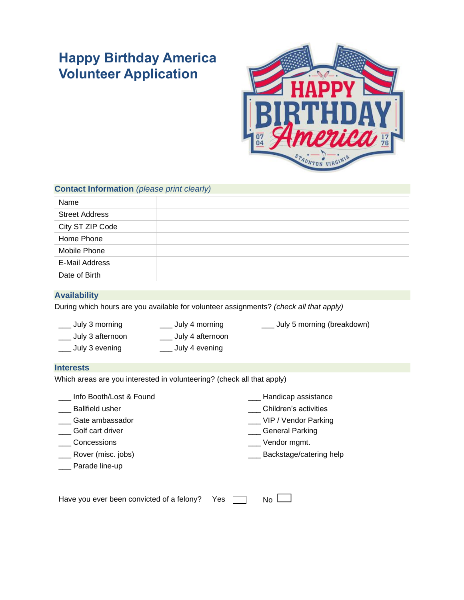# **Happy Birthday America Volunteer Application**



## **Contact Information** *(please print clearly)*

| Name                  |  |
|-----------------------|--|
| <b>Street Address</b> |  |
| City ST ZIP Code      |  |
| Home Phone            |  |
| Mobile Phone          |  |
| <b>E-Mail Address</b> |  |
| Date of Birth         |  |

### **Availability**

During which hours are you available for volunteer assignments? *(check all that apply)*

- 
- \_\_\_ July 3 afternoon \_\_\_ July 4 afternoon
- \_\_\_ July 3 evening \_\_\_ July 4 evening
- \_\_\_ July 3 morning \_\_\_ \_\_\_\_ July 4 morning \_\_\_ \_\_\_\_ July 5 morning (breakdown)

## **Interests**

Which areas are you interested in volunteering? (check all that apply)

Info Booth/Lost & Found **Example 20** Handicap assistance

- 
- \_\_\_ Gate ambassador
- \_\_\_ Golf cart driver
- 
- 
- \_\_ Parade line-up
- Let Ballfield usher the contraction of the contraction of the children's activities
	- \_\_\_ VIP / Vendor Parking
	- \_\_\_ General Parking
- \_\_\_ Concessions \_\_\_ Vendor mgmt.
- \_\_\_ Rover (misc. jobs) \_\_\_ Backstage/catering help

Have you ever been convicted of a felony? Yes

 $N<sub>0</sub>$